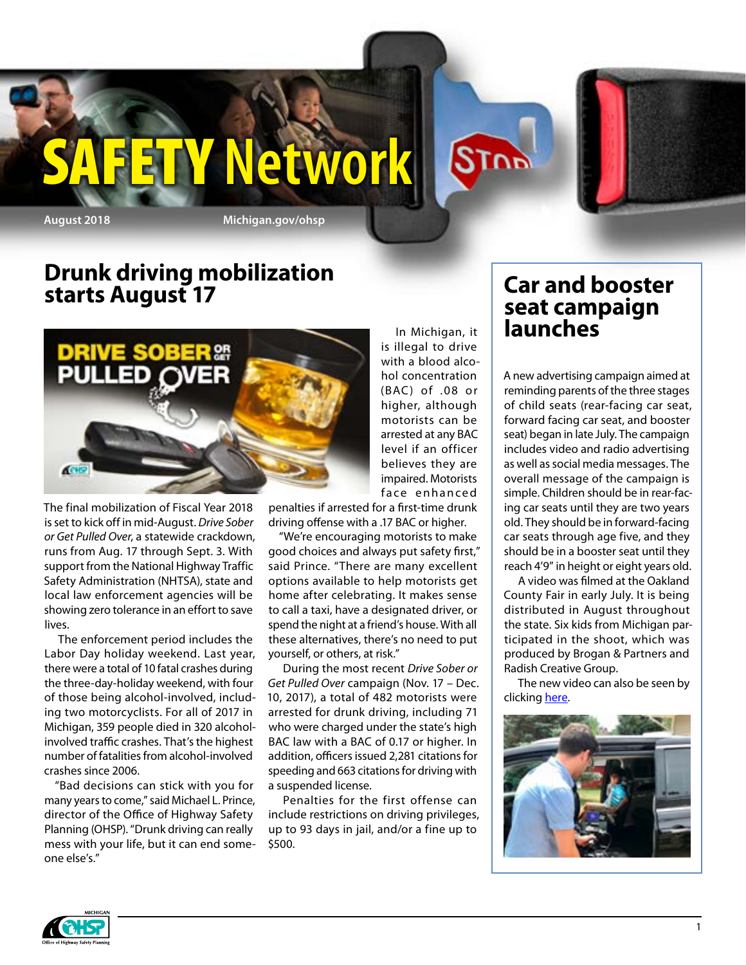

**ETY Network** 

## **Drunk driving mobilization starts August 17**



The final mobilization of Fiscal Year 2018 is set to kick off in mid-August. *Drive Sober or Get Pulled Over*, a statewide crackdown, runs from Aug. 17 through Sept. 3. With support from the National Highway Traffic Safety Administration (NHTSA), state and local law enforcement agencies will be showing zero tolerance in an effort to save lives.

The enforcement period includes the Labor Day holiday weekend. Last year, there were a total of 10 fatal crashes during the three-day-holiday weekend, with four of those being alcohol-involved, including two motorcyclists. For all of 2017 in Michigan, 359 people died in 320 alcoholinvolved traffic crashes. That's the highest number of fatalities from alcohol-involved crashes since 2006.

"Bad decisions can stick with you for many years to come," said Michael L. Prince, director of the Office of Highway Safety Planning (OHSP). "Drunk driving can really mess with your life, but it can end someone else's."

In Michigan, it is illegal to drive with a blood alcohol concentration (BAC ) of .08 or higher, although motorists can be arrested at any BAC level if an officer believes they are impaired. Motorists face enhanced

**STOP** 

penalties if arrested for a first-time drunk driving offense with a .17 BAC or higher.

"We're encouraging motorists to make good choices and always put safety first," said Prince. "There are many excellent options available to help motorists get home after celebrating. It makes sense to call a taxi, have a designated driver, or spend the night at a friend's house. With all these alternatives, there's no need to put yourself, or others, at risk."

During the most recent *Drive Sober or Get Pulled Over* campaign (Nov. 17 – Dec. 10, 2017), a total of 482 motorists were arrested for drunk driving, including 71 who were charged under the state's high BAC law with a BAC of 0.17 or higher. In addition, officers issued 2,281 citations for speeding and 663 citations for driving with a suspended license.

Penalties for the first offense can include restrictions on driving privileges, up to 93 days in jail, and/or a fine up to \$500.

### **Car and booster seat campaign launches**

A new advertising campaign aimed at reminding parents of the three stages of child seats (rear-facing car seat, forward facing car seat, and booster seat) began in late July. The campaign includes video and radio advertising as well as social media messages. The overall message of the campaign is simple. Children should be in rear-facing car seats until they are two years old. They should be in forward-facing car seats through age five, and they should be in a booster seat until they reach 4'9" in height or eight years old.

A video was filmed at the Oakland County Fair in early July. It is being distributed in August throughout the state. Six kids from Michigan participated in the shoot, which was produced by Brogan & Partners and Radish Creative Group.

The new video can also be seen by clicking [here](https://www.youtube.com/watch?v=WUqUqW_WGxM).



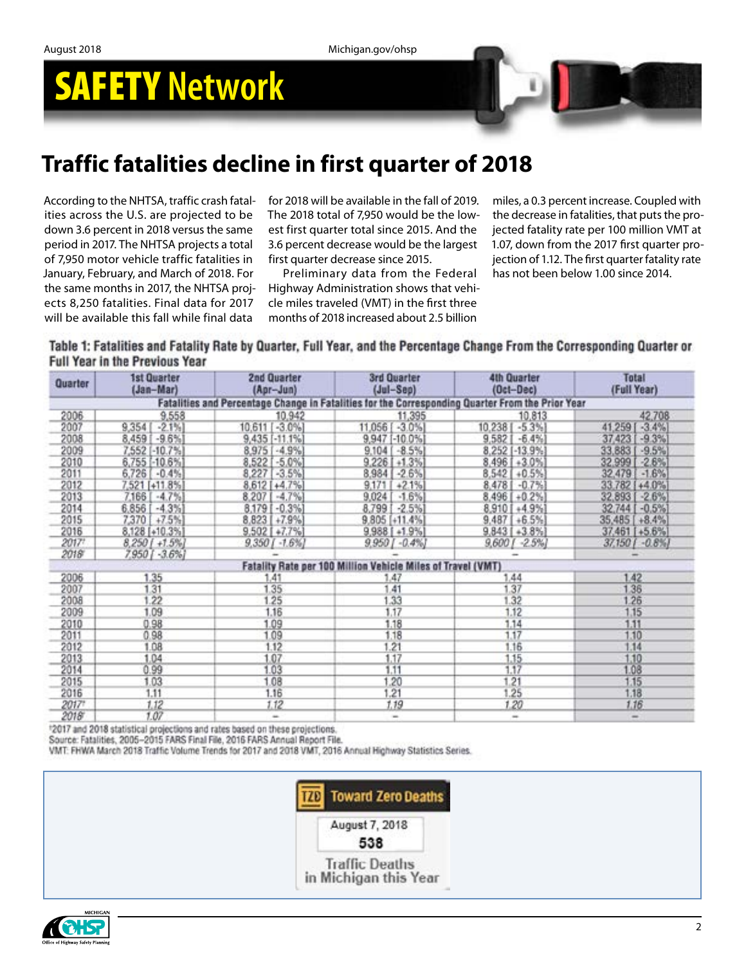## SAFETY **Network**

## **Traffic fatalities decline in first quarter of 2018**

According to the NHTSA, traffic crash fatalities across the U.S. are projected to be down 3.6 percent in 2018 versus the same period in 2017. The NHTSA projects a total of 7,950 motor vehicle traffic fatalities in January, February, and March of 2018. For the same months in 2017, the NHTSA projects 8,250 fatalities. Final data for 2017 will be available this fall while final data

for 2018 will be available in the fall of 2019. The 2018 total of 7,950 would be the lowest first quarter total since 2015. And the 3.6 percent decrease would be the largest first quarter decrease since 2015.

Preliminary data from the Federal Highway Administration shows that vehicle miles traveled (VMT) in the first three months of 2018 increased about 2.5 billion

miles, a 0.3 percent increase. Coupled with the decrease in fatalities, that puts the projected fatality rate per 100 million VMT at 1.07, down from the 2017 first quarter projection of 1.12. The first quarter fatality rate has not been below 1.00 since 2014.

Table 1: Fatalities and Fatality Rate by Quarter, Full Year, and the Percentage Change From the Corresponding Quarter or **Full Year in the Previous Year** 

| Quarter | 1st Quarter<br>(Jan-Mar) | 2nd Quarter<br>(Apr-Jun) | <b>3rd Quarter</b><br>$(Jul-Sep)$                                                                | <b>4th Quarter</b><br>(Oct-Dec) | <b>Total</b><br>(Full Year) |
|---------|--------------------------|--------------------------|--------------------------------------------------------------------------------------------------|---------------------------------|-----------------------------|
|         |                          |                          | Fatalities and Percentage Change in Fatalities for the Corresponding Quarter From the Prior Year |                                 |                             |
| 2006    | 9,558                    | 10,942                   | 11,395                                                                                           | 10,813                          | 42,708                      |
| 2007    | 9,354<br>$-2.1%$         | 10.611 [ -3.0%]          | $-3.0%$<br>11,056                                                                                | 10,238<br>$-5.3%$               | 41,259<br>$-3.4%$           |
| 2008    | $-9.6%$<br>8,459         | 9,435 [-11.1%]           | 9,947 [-10.0%]                                                                                   | 9,582<br>$-6.4%$                | 37,423<br>$-9.3%$           |
| 2009    | 7,552 [-10.7%]           | $-4.9%$<br>8,975         | $-8.5%$<br>$9.104$ [                                                                             | 8,252 [-13.9%]                  | 33,883<br>$-9.5%$           |
| 2010    | 6,755 [-10.6%]           | 8,522 [ -5.0%]           | $9.226$ $+1.3%$                                                                                  | $8,496$ + 3.0%                  | 32,999<br>$-2.6%$           |
| 2011    | $-0.4%$<br>6,726         | $-3.5%$<br>8,227         | $-2.6%$<br>8,984                                                                                 | 8,542<br>$+0.5%$                | 32,479<br>$-1.6%$           |
| 2012    | 7,521 [+11.8%]           | 8,612 [ + 4,7%]          | 9.171<br>$+2.1%$                                                                                 | 8,478<br>$-0.7%$                | 33,782 [ +4.0%]             |
| 2013    | $-4.7%$<br>7,166         | 8,207<br>$-4.7%$         | 9,024<br>$-1.6%$                                                                                 | 8,496<br>$+0.2%$                | 32,893<br>$-2.6%$           |
| 2014    | $-4.3%$<br>6.856         | 8.179 [ -0.3%]           | $-2.5%$<br>8,7991                                                                                | 8,910 [ +4.9%]                  | 32,744 [ - 0.5%]            |
| 2015    | 7,370 [ +7.5%]           | $8,823$ $+7.9%$          | $9,805$ [+11.4%]                                                                                 | $9,487$ +6.5%                   | 35,485 [+8.4%]              |
| 2016    | 8,128 [+10.3%]           | $9.502$ [ $+7.7%$ ]      | $9,988$ [ +1.9%]                                                                                 | $9,843$ [ $+3.8\%$ ]            | 37,461 [+5.6%]              |
| 2017?   | $8,250$ [ +1.5%]         | $9.350[-1.6\%]$          | $9,950$ [ -0.4%]                                                                                 | $9,600$ [ $-2.5%$ ]             | $37.150[-0.8\%]$            |
| 2018    | 7,950 [ -3.6%]           |                          |                                                                                                  |                                 |                             |
|         |                          |                          | Fatality Rate per 100 Million Vehicle Miles of Travel (VMT)                                      |                                 |                             |
| 2006    | 1.35                     | 1.41                     | .47                                                                                              | 1.44                            | 1.42                        |
| 2007    | 1.31                     | 1.35                     | 41                                                                                               | 37                              | 1.36                        |
| 2008    | 22                       | 1.25                     | .33                                                                                              | 32                              | 1.26                        |
| 2009    | 1.09                     | 1.16                     | 1.17                                                                                             | 1.12                            | 1.15                        |
| 2010    | 0.98                     | 1.09                     | 1.18                                                                                             | 1.14                            | 1.11                        |
| 2011    | 0.98                     | 1.09                     | 1.18                                                                                             | 1.17                            | 1.10                        |
| 2012    | 1.08                     | 1.12                     | .21                                                                                              | 1.16                            | 1.14                        |
| 2013    | 1.04                     | 1.07                     | 1.17                                                                                             | 1.15                            | 1,10                        |
| 2014    | 0.99                     | 1.03                     | 1.11                                                                                             | 1.17                            | 1.08                        |
| 2015    | 1.03                     | 1.08                     | .20                                                                                              | 1.21                            | 1.15                        |
| 2016    | 1.11                     | 1.16                     | .21                                                                                              | 1.25                            | 1.18                        |
| 2017    | 1.12                     | 1.12                     | 1.19                                                                                             | 1.20                            | 1.16                        |
| 2018    | 1.07                     | $\overline{\phantom{a}}$ | $\equiv$                                                                                         | $\equiv$                        | -                           |

12017 and 2018 statistical projections and rates based on these projections.

Source: Fatalities, 2005-2015 FARS Final File, 2016 FARS Annual Report File.

VMT: FHWA March 2018 Traffic Volume Trends for 2017 and 2018 VMT, 2016 Annual Highway Statistics Series.



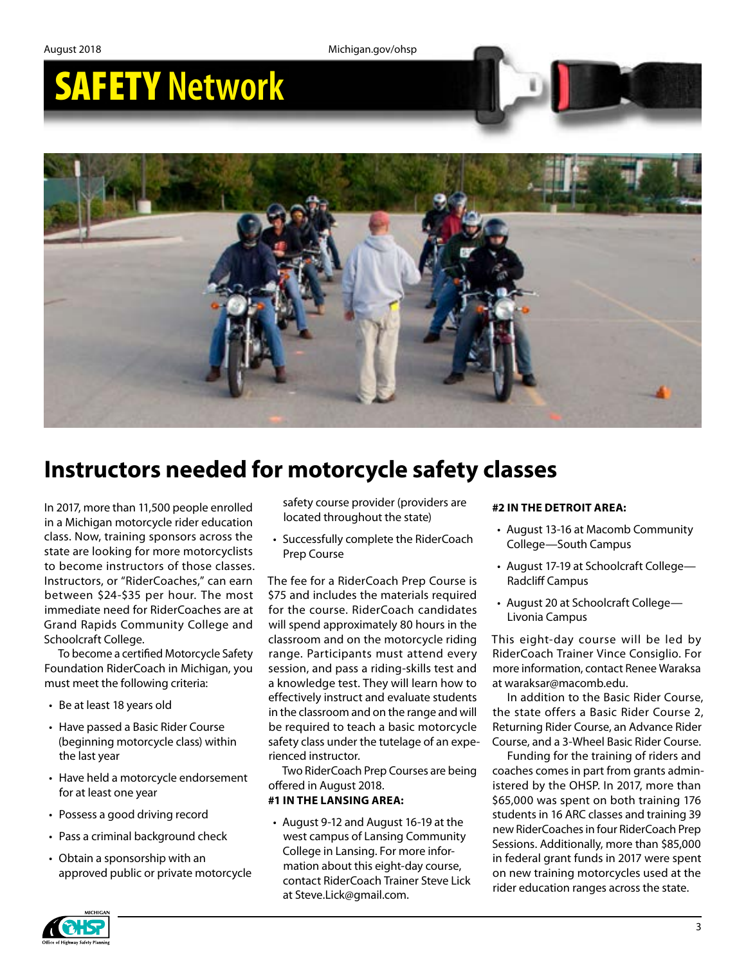# SAFETY **Network**



## **Instructors needed for motorcycle safety classes**

In 2017, more than 11,500 people enrolled in a Michigan motorcycle rider education class. Now, training sponsors across the state are looking for more motorcyclists to become instructors of those classes. Instructors, or "RiderCoaches," can earn between \$24-\$35 per hour. The most immediate need for RiderCoaches are at Grand Rapids Community College and Schoolcraft College.

To become a certified Motorcycle Safety Foundation RiderCoach in Michigan, you must meet the following criteria:

- Be at least 18 years old
- Have passed a Basic Rider Course (beginning motorcycle class) within the last year
- Have held a motorcycle endorsement for at least one year
- Possess a good driving record
- Pass a criminal background check
- Obtain a sponsorship with an approved public or private motorcycle

safety course provider (providers are located throughout the state)

• Successfully complete the RiderCoach Prep Course

The fee for a RiderCoach Prep Course is \$75 and includes the materials required for the course. RiderCoach candidates will spend approximately 80 hours in the classroom and on the motorcycle riding range. Participants must attend every session, and pass a riding-skills test and a knowledge test. They will learn how to effectively instruct and evaluate students in the classroom and on the range and will be required to teach a basic motorcycle safety class under the tutelage of an experienced instructor.

Two RiderCoach Prep Courses are being offered in August 2018.

#### **#1 IN THE LANSING AREA:**

• August 9-12 and August 16-19 at the west campus of Lansing Community College in Lansing. For more information about this eight-day course, contact RiderCoach Trainer Steve Lick at Steve.Lick@gmail.com.

#### **#2 IN THE DETROIT AREA:**

- August 13-16 at Macomb Community College—South Campus
- August 17-19 at Schoolcraft College— Radcliff Campus
- August 20 at Schoolcraft College— Livonia Campus

This eight-day course will be led by RiderCoach Trainer Vince Consiglio. For more information, contact Renee Waraksa at waraksar@macomb.edu.

In addition to the Basic Rider Course, the state offers a Basic Rider Course 2, Returning Rider Course, an Advance Rider Course, and a 3-Wheel Basic Rider Course.

Funding for the training of riders and coaches comes in part from grants administered by the OHSP. In 2017, more than \$65,000 was spent on both training 176 students in 16 ARC classes and training 39 new RiderCoaches in four RiderCoach Prep Sessions. Additionally, more than \$85,000 in federal grant funds in 2017 were spent on new training motorcycles used at the rider education ranges across the state.

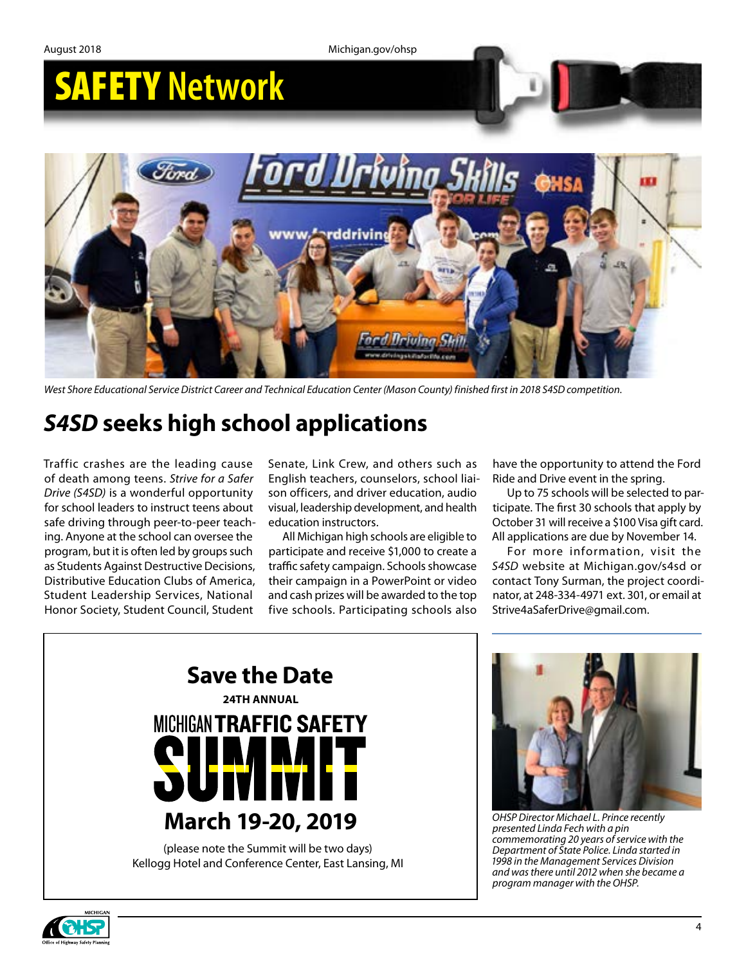

*West Shore Educational Service District Career and Technical Education Center (Mason County) finished first in 2018 S4SD competition.*

## *S4SD* **seeks high school applications**

Traffic crashes are the leading cause of death among teens. *Strive for a Safer Drive (S4SD)* is a wonderful opportunity for school leaders to instruct teens about safe driving through peer-to-peer teaching. Anyone at the school can oversee the program, but it is often led by groups such as Students Against Destructive Decisions, Distributive Education Clubs of America, Student Leadership Services, National Honor Society, Student Council, Student

Senate, Link Crew, and others such as English teachers, counselors, school liaison officers, and driver education, audio visual, leadership development, and health education instructors.

All Michigan high schools are eligible to participate and receive \$1,000 to create a traffic safety campaign. Schools showcase their campaign in a PowerPoint or video and cash prizes will be awarded to the top five schools. Participating schools also

have the opportunity to attend the Ford Ride and Drive event in the spring.

Up to 75 schools will be selected to participate. The first 30 schools that apply by October 31 will receive a \$100 Visa gift card. All applications are due by November 14.

For more information, visit the *S4SD* website at Michigan.gov/s4sd or contact Tony Surman, the project coordinator, at 248-334-4971 ext. 301, or email at Strive4aSaferDrive@gmail.com.





*OHSP Director Michael L. Prince recently presented Linda Fech with a pin commemorating 20 years of service with the Department of State Police. Linda started in 1998 in the Management Services Division and was there until 2012 when she became a program manager with the OHSP.*

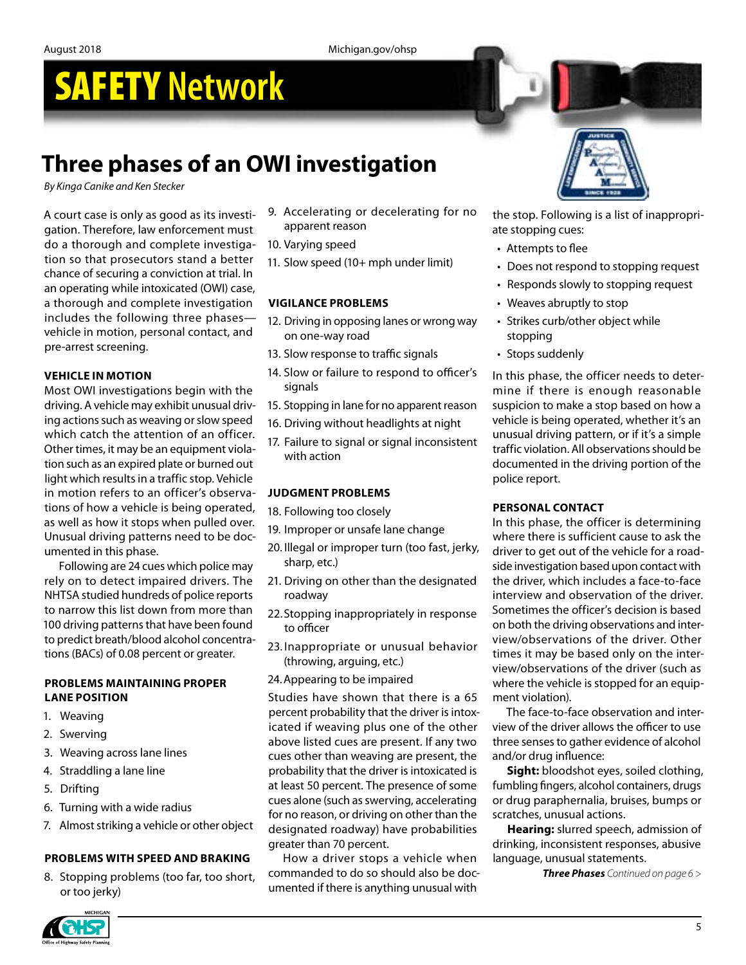# SAFETY **Network**

## **Three phases of an OWI investigation**

*By Kinga Canike and Ken Stecker*

A court case is only as good as its investigation. Therefore, law enforcement must do a thorough and complete investigation so that prosecutors stand a better chance of securing a conviction at trial. In an operating while intoxicated (OWI) case, a thorough and complete investigation includes the following three phases vehicle in motion, personal contact, and pre-arrest screening.

#### **VEHICLE IN MOTION**

Most OWI investigations begin with the driving. A vehicle may exhibit unusual driving actions such as weaving or slow speed which catch the attention of an officer. Other times, it may be an equipment violation such as an expired plate or burned out light which results in a traffic stop. Vehicle in motion refers to an officer's observations of how a vehicle is being operated, as well as how it stops when pulled over. Unusual driving patterns need to be documented in this phase.

Following are 24 cues which police may rely on to detect impaired drivers. The NHTSA studied hundreds of police reports to narrow this list down from more than 100 driving patterns that have been found to predict breath/blood alcohol concentrations (BACs) of 0.08 percent or greater.

#### **PROBLEMS MAINTAINING PROPER LANE POSITION**

- 1. Weaving
- 2. Swerving
- 3. Weaving across lane lines
- 4. Straddling a lane line
- 5. Drifting
- 6. Turning with a wide radius
- 7. Almost striking a vehicle or other object

#### **PROBLEMS WITH SPEED AND BRAKING**

8. Stopping problems (too far, too short, or too jerky)

- 9. Accelerating or decelerating for no apparent reason
- 10. Varying speed
- 11. Slow speed (10+ mph under limit)

#### **VIGILANCE PROBLEMS**

- 12. Driving in opposing lanes or wrong way on one-way road
- 13. Slow response to traffic signals
- 14. Slow or failure to respond to officer's signals
- 15. Stopping in lane for no apparent reason
- 16. Driving without headlights at night
- 17. Failure to signal or signal inconsistent with action

#### **JUDGMENT PROBLEMS**

- 18. Following too closely
- 19. Improper or unsafe lane change
- 20. Illegal or improper turn (too fast, jerky, sharp, etc.)
- 21. Driving on other than the designated roadway
- 22.Stopping inappropriately in response to officer
- 23. Inappropriate or unusual behavior (throwing, arguing, etc.)
- 24.Appearing to be impaired

Studies have shown that there is a 65 percent probability that the driver is intoxicated if weaving plus one of the other above listed cues are present. If any two cues other than weaving are present, the probability that the driver is intoxicated is at least 50 percent. The presence of some cues alone (such as swerving, accelerating for no reason, or driving on other than the designated roadway) have probabilities greater than 70 percent.

How a driver stops a vehicle when commanded to do so should also be documented if there is anything unusual with



the stop. Following is a list of inappropriate stopping cues:

- Attempts to flee
- Does not respond to stopping request
- Responds slowly to stopping request
- Weaves abruptly to stop
- Strikes curb/other object while stopping
- Stops suddenly

In this phase, the officer needs to determine if there is enough reasonable suspicion to make a stop based on how a vehicle is being operated, whether it's an unusual driving pattern, or if it's a simple traffic violation. All observations should be documented in the driving portion of the police report.

#### **PERSONAL CONTACT**

In this phase, the officer is determining where there is sufficient cause to ask the driver to get out of the vehicle for a roadside investigation based upon contact with the driver, which includes a face-to-face interview and observation of the driver. Sometimes the officer's decision is based on both the driving observations and interview/observations of the driver. Other times it may be based only on the interview/observations of the driver (such as where the vehicle is stopped for an equipment violation).

The face-to-face observation and interview of the driver allows the officer to use three senses to gather evidence of alcohol and/or drug influence:

**Sight:** bloodshot eyes, soiled clothing, fumbling fingers, alcohol containers, drugs or drug paraphernalia, bruises, bumps or scratches, unusual actions.

**Hearing:** slurred speech, admission of drinking, inconsistent responses, abusive language, unusual statements.

*Three Phases Continued on page 6 >*

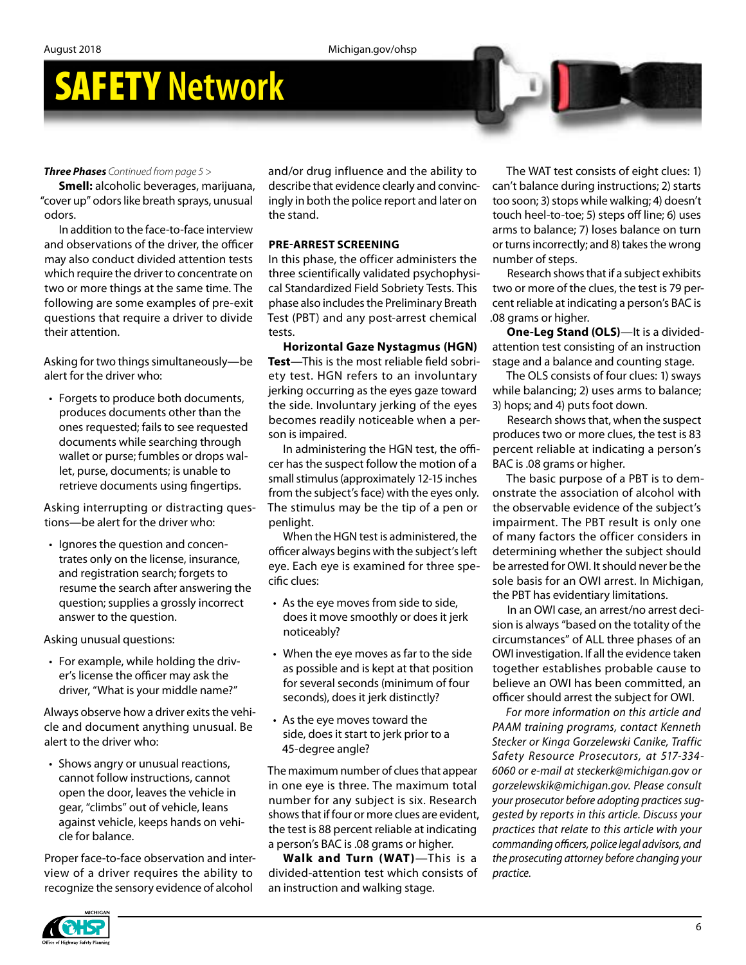# SAFETY **Network**

#### *Three Phases Continued from page 5 >*

**Smell:** alcoholic beverages, marijuana, "cover up" odors like breath sprays, unusual odors.

In addition to the face-to-face interview and observations of the driver, the officer may also conduct divided attention tests which require the driver to concentrate on two or more things at the same time. The following are some examples of pre-exit questions that require a driver to divide their attention.

Asking for two things simultaneously—be alert for the driver who:

• Forgets to produce both documents, produces documents other than the ones requested; fails to see requested documents while searching through wallet or purse; fumbles or drops wallet, purse, documents; is unable to retrieve documents using fingertips.

Asking interrupting or distracting questions—be alert for the driver who:

• Ignores the question and concentrates only on the license, insurance, and registration search; forgets to resume the search after answering the question; supplies a grossly incorrect answer to the question.

Asking unusual questions:

• For example, while holding the driver's license the officer may ask the driver, "What is your middle name?"

Always observe how a driver exits the vehicle and document anything unusual. Be alert to the driver who:

• Shows angry or unusual reactions, cannot follow instructions, cannot open the door, leaves the vehicle in gear, "climbs" out of vehicle, leans against vehicle, keeps hands on vehicle for balance.

Proper face-to-face observation and interview of a driver requires the ability to recognize the sensory evidence of alcohol

and/or drug influence and the ability to describe that evidence clearly and convincingly in both the police report and later on the stand.

#### **PRE-ARREST SCREENING**

In this phase, the officer administers the three scientifically validated psychophysical Standardized Field Sobriety Tests. This phase also includes the Preliminary Breath Test (PBT) and any post-arrest chemical tests.

**Horizontal Gaze Nystagmus (HGN) Test**—This is the most reliable field sobriety test. HGN refers to an involuntary jerking occurring as the eyes gaze toward the side. Involuntary jerking of the eyes becomes readily noticeable when a person is impaired.

In administering the HGN test, the officer has the suspect follow the motion of a small stimulus (approximately 12-15 inches from the subject's face) with the eyes only. The stimulus may be the tip of a pen or penlight.

When the HGN test is administered, the officer always begins with the subject's left eye. Each eye is examined for three specific clues:

- As the eye moves from side to side, does it move smoothly or does it jerk noticeably?
- When the eye moves as far to the side as possible and is kept at that position for several seconds (minimum of four seconds), does it jerk distinctly?
- As the eye moves toward the side, does it start to jerk prior to a 45-degree angle?

The maximum number of clues that appear in one eye is three. The maximum total number for any subject is six. Research shows that if four or more clues are evident, the test is 88 percent reliable at indicating a person's BAC is .08 grams or higher.

**Walk and Turn (WAT)**—This is a divided-attention test which consists of an instruction and walking stage.

The WAT test consists of eight clues: 1) can't balance during instructions; 2) starts too soon; 3) stops while walking; 4) doesn't touch heel-to-toe; 5) steps off line; 6) uses arms to balance; 7) loses balance on turn or turns incorrectly; and 8) takes the wrong number of steps.

Research shows that if a subject exhibits two or more of the clues, the test is 79 percent reliable at indicating a person's BAC is .08 grams or higher.

**One-Leg Stand (OLS)**—It is a dividedattention test consisting of an instruction stage and a balance and counting stage.

The OLS consists of four clues: 1) sways while balancing; 2) uses arms to balance; 3) hops; and 4) puts foot down.

Research shows that, when the suspect produces two or more clues, the test is 83 percent reliable at indicating a person's BAC is .08 grams or higher.

The basic purpose of a PBT is to demonstrate the association of alcohol with the observable evidence of the subject's impairment. The PBT result is only one of many factors the officer considers in determining whether the subject should be arrested for OWI. It should never be the sole basis for an OWI arrest. In Michigan, the PBT has evidentiary limitations.

In an OWI case, an arrest/no arrest decision is always "based on the totality of the circumstances" of ALL three phases of an OWI investigation. If all the evidence taken together establishes probable cause to believe an OWI has been committed, an officer should arrest the subject for OWI.

*For more information on this article and PAAM training programs, contact Kenneth Stecker or Kinga Gorzelewski Canike, Traffic Safety Resource Prosecutors, at 517-334- 6060 or e-mail at steckerk@michigan.gov or gorzelewskik@michigan.gov. Please consult your prosecutor before adopting practices suggested by reports in this article. Discuss your practices that relate to this article with your commanding officers, police legal advisors, and the prosecuting attorney before changing your practice.*

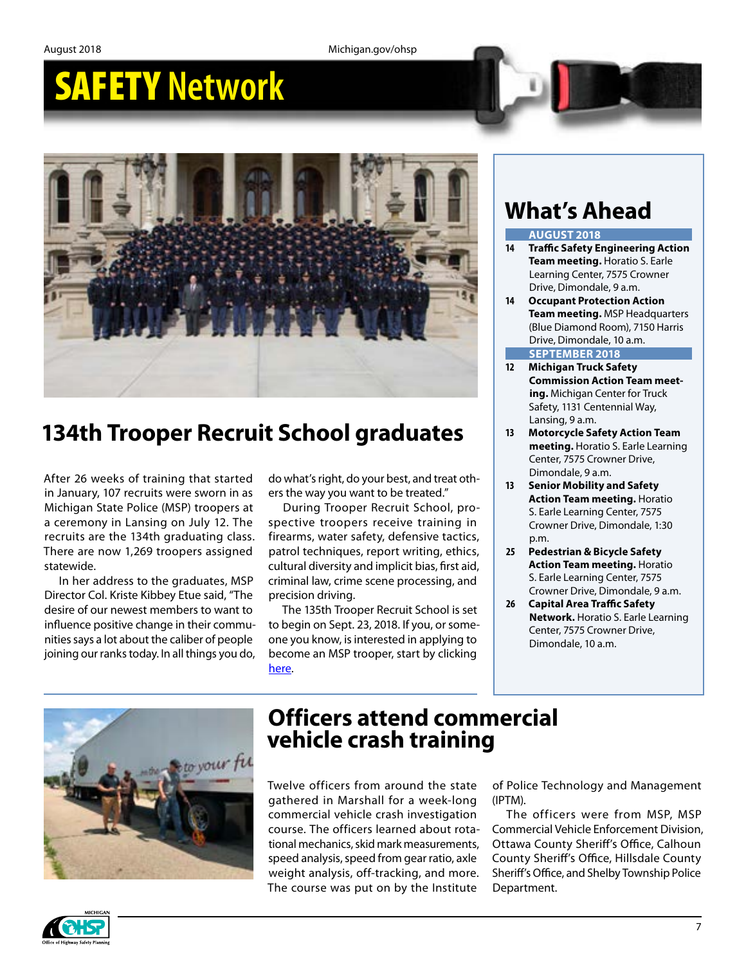## SAFETY **Network**



## **134th Trooper Recruit School graduates**

After 26 weeks of training that started in January, 107 recruits were sworn in as Michigan State Police (MSP) troopers at a ceremony in Lansing on July 12. The recruits are the 134th graduating class. There are now 1,269 troopers assigned statewide.

In her address to the graduates, MSP Director Col. Kriste Kibbey Etue said, "The desire of our newest members to want to influence positive change in their communities says a lot about the caliber of people joining our ranks today. In all things you do,

do what's right, do your best, and treat others the way you want to be treated."

During Trooper Recruit School, prospective troopers receive training in firearms, water safety, defensive tactics, patrol techniques, report writing, ethics, cultural diversity and implicit bias, first aid, criminal law, crime scene processing, and precision driving.

The 135th Trooper Recruit School is set to begin on Sept. 23, 2018. If you, or someone you know, is interested in applying to become an MSP trooper, start by clicking [here](https://www.michigan.gov/msp/0,4643,7-123-62526---,00.html).

## **What's Ahead**

#### **AUGUST 2018**

- **14 Traffic Safety Engineering Action Team meeting.** Horatio S. Earle Learning Center, 7575 Crowner Drive, Dimondale, 9 a.m.
- **14 Occupant Protection Action Team meeting.** MSP Headquarters (Blue Diamond Room), 7150 Harris Drive, Dimondale, 10 a.m.

#### **SEPTEMBER 2018**

- **12 Michigan Truck Safety Commission Action Team meeting.** Michigan Center for Truck Safety, 1131 Centennial Way, Lansing, 9 a.m.
- **13 Motorcycle Safety Action Team meeting.** Horatio S. Earle Learning Center, 7575 Crowner Drive, Dimondale, 9 a.m.
- **13 Senior Mobility and Safety Action Team meeting.** Horatio S. Earle Learning Center, 7575 Crowner Drive, Dimondale, 1:30 p.m.
- **25 Pedestrian & Bicycle Safety Action Team meeting.** Horatio S. Earle Learning Center, 7575 Crowner Drive, Dimondale, 9 a.m.
- **26 Capital Area Traffic Safety Network.** Horatio S. Earle Learning Center, 7575 Crowner Drive, Dimondale, 10 a.m.



### **Officers attend commercial vehicle crash training**

Twelve officers from around the state gathered in Marshall for a week-long commercial vehicle crash investigation course. The officers learned about rotational mechanics, skid mark measurements, speed analysis, speed from gear ratio, axle weight analysis, off-tracking, and more. The course was put on by the Institute

of Police Technology and Management (IPTM).

The officers were from MSP, MSP Commercial Vehicle Enforcement Division, Ottawa County Sheriff's Office, Calhoun County Sheriff's Office, Hillsdale County Sheriff's Office, and Shelby Township Police Department.